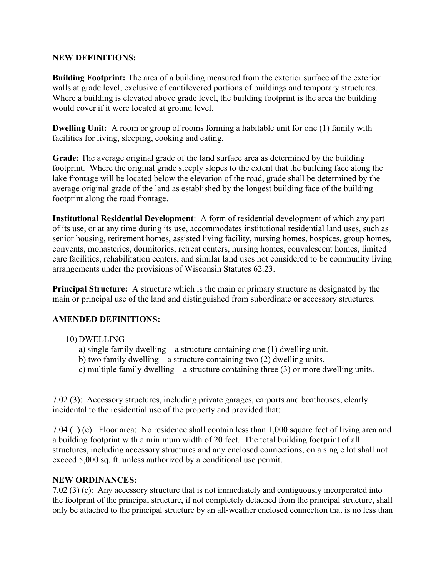## NEW DEFINITIONS:

Building Footprint: The area of a building measured from the exterior surface of the exterior walls at grade level, exclusive of cantilevered portions of buildings and temporary structures. Where a building is elevated above grade level, the building footprint is the area the building would cover if it were located at ground level.

Dwelling Unit: A room or group of rooms forming a habitable unit for one (1) family with facilities for living, sleeping, cooking and eating.

Grade: The average original grade of the land surface area as determined by the building footprint. Where the original grade steeply slopes to the extent that the building face along the lake frontage will be located below the elevation of the road, grade shall be determined by the average original grade of the land as established by the longest building face of the building footprint along the road frontage.

Institutional Residential Development: A form of residential development of which any part of its use, or at any time during its use, accommodates institutional residential land uses, such as senior housing, retirement homes, assisted living facility, nursing homes, hospices, group homes, convents, monasteries, dormitories, retreat centers, nursing homes, convalescent homes, limited care facilities, rehabilitation centers, and similar land uses not considered to be community living arrangements under the provisions of Wisconsin Statutes 62.23.

Principal Structure: A structure which is the main or primary structure as designated by the main or principal use of the land and distinguished from subordinate or accessory structures.

## AMENDED DEFINITIONS:

- 10) DWELLING
	- a) single family dwelling a structure containing one (1) dwelling unit.
	- b) two family dwelling a structure containing two (2) dwelling units.
	- c) multiple family dwelling a structure containing three (3) or more dwelling units.

7.02 (3): Accessory structures, including private garages, carports and boathouses, clearly incidental to the residential use of the property and provided that:

7.04 (1) (e): Floor area: No residence shall contain less than 1,000 square feet of living area and a building footprint with a minimum width of 20 feet. The total building footprint of all structures, including accessory structures and any enclosed connections, on a single lot shall not exceed 5,000 sq. ft. unless authorized by a conditional use permit.

## NEW ORDINANCES:

7.02 (3) (c): Any accessory structure that is not immediately and contiguously incorporated into the footprint of the principal structure, if not completely detached from the principal structure, shall only be attached to the principal structure by an all-weather enclosed connection that is no less than